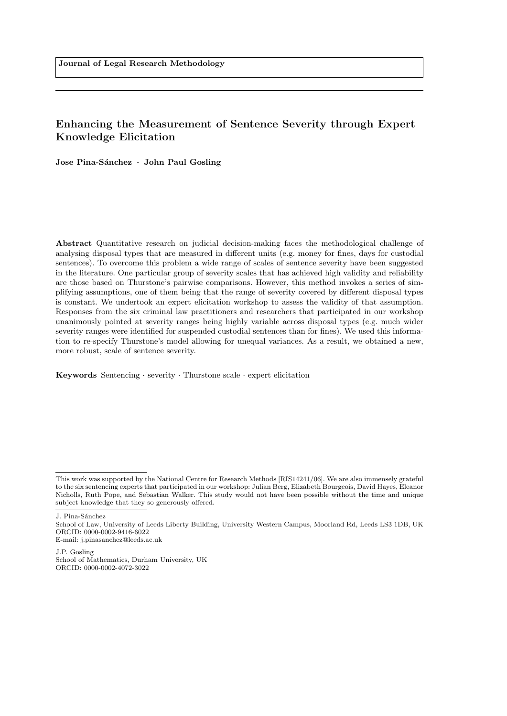# Enhancing the Measurement of Sentence Severity through Expert Knowledge Elicitation

Jose Pina-Sánchez · John Paul Gosling

Abstract Quantitative research on judicial decision-making faces the methodological challenge of analysing disposal types that are measured in different units (e.g. money for fines, days for custodial sentences). To overcome this problem a wide range of scales of sentence severity have been suggested in the literature. One particular group of severity scales that has achieved high validity and reliability are those based on Thurstone's pairwise comparisons. However, this method invokes a series of simplifying assumptions, one of them being that the range of severity covered by different disposal types is constant. We undertook an expert elicitation workshop to assess the validity of that assumption. Responses from the six criminal law practitioners and researchers that participated in our workshop unanimously pointed at severity ranges being highly variable across disposal types (e.g. much wider severity ranges were identified for suspended custodial sentences than for fines). We used this information to re-specify Thurstone's model allowing for unequal variances. As a result, we obtained a new, more robust, scale of sentence severity.

Keywords Sentencing · severity · Thurstone scale · expert elicitation

J. Pina-Sánchez

## E-mail: j.pinasanchez@leeds.ac.uk

This work was supported by the National Centre for Research Methods [RIS14241/06]. We are also immensely grateful to the six sentencing experts that participated in our workshop: Julian Berg, Elizabeth Bourgeois, David Hayes, Eleanor Nicholls, Ruth Pope, and Sebastian Walker. This study would not have been possible without the time and unique subject knowledge that they so generously offered.

School of Law, University of Leeds Liberty Building, University Western Campus, Moorland Rd, Leeds LS3 1DB, UK ORCID: 0000-0002-9416-6022

J.P. Gosling School of Mathematics, Durham University, UK ORCID: 0000-0002-4072-3022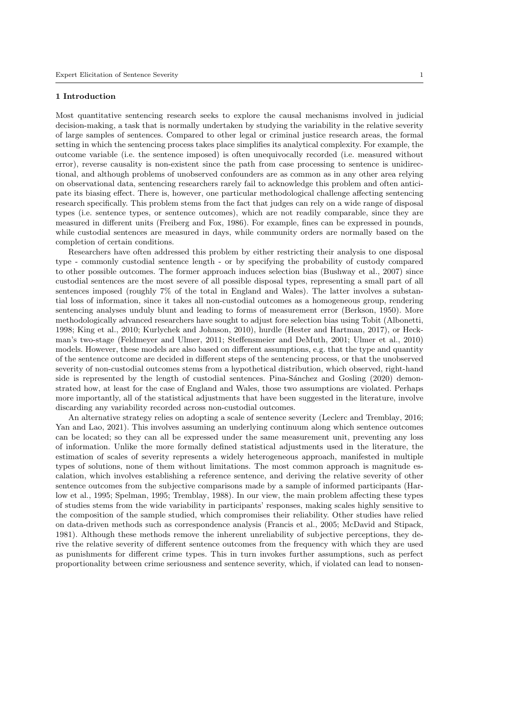### 1 Introduction

Most quantitative sentencing research seeks to explore the causal mechanisms involved in judicial decision-making, a task that is normally undertaken by studying the variability in the relative severity of large samples of sentences. Compared to other legal or criminal justice research areas, the formal setting in which the sentencing process takes place simplifies its analytical complexity. For example, the outcome variable (i.e. the sentence imposed) is often unequivocally recorded (i.e. measured without error), reverse causality is non-existent since the path from case processing to sentence is unidirectional, and although problems of unobserved confounders are as common as in any other area relying on observational data, sentencing researchers rarely fail to acknowledge this problem and often anticipate its biasing effect. There is, however, one particular methodological challenge affecting sentencing research specifically. This problem stems from the fact that judges can rely on a wide range of disposal types (i.e. sentence types, or sentence outcomes), which are not readily comparable, since they are measured in different units [\(Freiberg and Fox,](#page-13-0) [1986\)](#page-13-0). For example, fines can be expressed in pounds, while custodial sentences are measured in days, while community orders are normally based on the completion of certain conditions.

Researchers have often addressed this problem by either restricting their analysis to one disposal type - commonly custodial sentence length - or by specifying the probability of custody compared to other possible outcomes. The former approach induces selection bias [\(Bushway et al.,](#page-13-1) [2007\)](#page-13-1) since custodial sentences are the most severe of all possible disposal types, representing a small part of all sentences imposed (roughly 7% of the total in England and Wales). The latter involves a substantial loss of information, since it takes all non-custodial outcomes as a homogeneous group, rendering sentencing analyses unduly blunt and leading to forms of measurement error [\(Berkson,](#page-13-2) [1950\)](#page-13-2). More methodologically advanced researchers have sought to adjust fore selection bias using Tobit [\(Albonetti,](#page-13-3) [1998;](#page-13-3) [King et al.,](#page-14-0) [2010;](#page-14-0) [Kurlychek and Johnson,](#page-14-1) [2010\)](#page-14-1), hurdle [\(Hester and Hartman,](#page-14-2) [2017\)](#page-14-2), or Heckman's two-stage [\(Feldmeyer and Ulmer,](#page-13-4) [2011;](#page-13-4) [Steffensmeier and DeMuth,](#page-15-0) [2001;](#page-15-0) [Ulmer et al.,](#page-16-0) [2010\)](#page-16-0) models. However, these models are also based on different assumptions, e.g. that the type and quantity of the sentence outcome are decided in different steps of the sentencing process, or that the unobserved severity of non-custodial outcomes stems from a hypothetical distribution, which observed, right-hand side is represented by the length of custodial sentences. Pina-Sánchez and Gosling [\(2020\)](#page-15-1) demonstrated how, at least for the case of England and Wales, those two assumptions are violated. Perhaps more importantly, all of the statistical adjustments that have been suggested in the literature, involve discarding any variability recorded across non-custodial outcomes.

An alternative strategy relies on adopting a scale of sentence severity [\(Leclerc and Tremblay,](#page-14-3) [2016;](#page-14-3) [Yan and Lao,](#page-16-1) [2021\)](#page-16-1). This involves assuming an underlying continuum along which sentence outcomes can be located; so they can all be expressed under the same measurement unit, preventing any loss of information. Unlike the more formally defined statistical adjustments used in the literature, the estimation of scales of severity represents a widely heterogeneous approach, manifested in multiple types of solutions, none of them without limitations. The most common approach is magnitude escalation, which involves establishing a reference sentence, and deriving the relative severity of other sentence outcomes from the subjective comparisons made by a sample of informed participants [\(Har](#page-14-4)[low et al.,](#page-14-4) [1995;](#page-14-4) [Spelman,](#page-15-2) [1995;](#page-15-2) [Tremblay,](#page-16-2) [1988\)](#page-16-2). In our view, the main problem affecting these types of studies stems from the wide variability in participants' responses, making scales highly sensitive to the composition of the sample studied, which compromises their reliability. Other studies have relied on data-driven methods such as correspondence analysis [\(Francis et al.,](#page-13-5) [2005;](#page-13-5) [McDavid and Stipack,](#page-15-3) [1981\)](#page-15-3). Although these methods remove the inherent unreliability of subjective perceptions, they derive the relative severity of different sentence outcomes from the frequency with which they are used as punishments for different crime types. This in turn invokes further assumptions, such as perfect proportionality between crime seriousness and sentence severity, which, if violated can lead to nonsen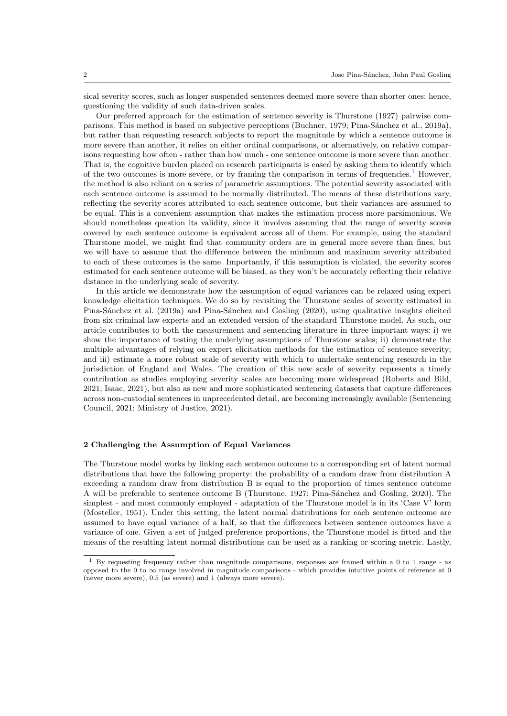sical severity scores, such as longer suspended sentences deemed more severe than shorter ones; hence, questioning the validity of such data-driven scales.

Our preferred approach for the estimation of sentence severity is [Thurstone](#page-16-3) [\(1927\)](#page-16-3) pairwise com-parisons. This method is based on subjective perceptions [\(Buchner,](#page-13-6) [1979;](#page-13-6) Pina-Sánchez et al., [2019a\)](#page-15-4), but rather than requesting research subjects to report the magnitude by which a sentence outcome is more severe than another, it relies on either ordinal comparisons, or alternatively, on relative comparisons requesting how often - rather than how much - one sentence outcome is more severe than another. That is, the cognitive burden placed on research participants is eased by asking them to identify which of the two outcomes is more severe, or by framing the comparison in terms of frequencies.<sup>[1](#page-2-0)</sup> However, the method is also reliant on a series of parametric assumptions. The potential severity associated with each sentence outcome is assumed to be normally distributed. The means of these distributions vary, reflecting the severity scores attributed to each sentence outcome, but their variances are assumed to be equal. This is a convenient assumption that makes the estimation process more parsimonious. We should nonetheless question its validity, since it involves assuming that the range of severity scores covered by each sentence outcome is equivalent across all of them. For example, using the standard Thurstone model, we might find that community orders are in general more severe than fines, but we will have to assume that the difference between the minimum and maximum severity attributed to each of these outcomes is the same. Importantly, if this assumption is violated, the severity scores estimated for each sentence outcome will be biased, as they won't be accurately reflecting their relative distance in the underlying scale of severity.

In this article we demonstrate how the assumption of equal variances can be relaxed using expert knowledge elicitation techniques. We do so by revisiting the Thurstone scales of severity estimated in Pina-Sánchez et al. [\(2019a\)](#page-15-4) and Pina-Sánchez and Gosling [\(2020\)](#page-15-1), using qualitative insights elicited from six criminal law experts and an extended version of the standard Thurstone model. As such, our article contributes to both the measurement and sentencing literature in three important ways: i) we show the importance of testing the underlying assumptions of Thurstone scales; ii) demonstrate the multiple advantages of relying on expert elicitation methods for the estimation of sentence severity; and iii) estimate a more robust scale of severity with which to undertake sentencing research in the jurisdiction of England and Wales. The creation of this new scale of severity represents a timely contribution as studies employing severity scales are becoming more widespread [\(Roberts and Bild,](#page-15-5) [2021;](#page-15-5) [Isaac,](#page-14-5) [2021\)](#page-14-5), but also as new and more sophisticated sentencing datasets that capture differences across non-custodial sentences in unprecedented detail, are becoming increasingly available [\(Sentencing](#page-15-6) [Council,](#page-15-6) [2021;](#page-15-6) [Ministry of Justice,](#page-15-7) [2021\)](#page-15-7).

#### 2 Challenging the Assumption of Equal Variances

The Thurstone model works by linking each sentence outcome to a corresponding set of latent normal distributions that have the following property: the probability of a random draw from distribution A exceeding a random draw from distribution B is equal to the proportion of times sentence outcome A will be preferable to sentence outcome B [\(Thurstone,](#page-16-3) [1927;](#page-16-3) Pina-Sánchez and Gosling, [2020\)](#page-15-1). The simplest - and most commonly employed - adaptation of the Thurstone model is in its 'Case V' form [\(Mosteller,](#page-15-8) [1951\)](#page-15-8). Under this setting, the latent normal distributions for each sentence outcome are assumed to have equal variance of a half, so that the differences between sentence outcomes have a variance of one. Given a set of judged preference proportions, the Thurstone model is fitted and the means of the resulting latent normal distributions can be used as a ranking or scoring metric. Lastly,

<span id="page-2-0"></span><sup>1</sup> By requesting frequency rather than magnitude comparisons, responses are framed within a 0 to 1 range - as opposed to the  $0$  to  $\infty$  range involved in magnitude comparisons - which provides intuitive points of reference at 0 (never more severe), 0.5 (as severe) and 1 (always more severe).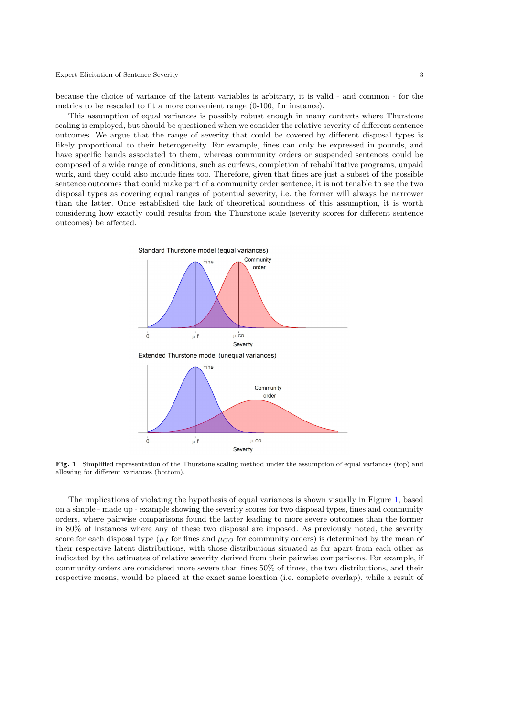because the choice of variance of the latent variables is arbitrary, it is valid - and common - for the metrics to be rescaled to fit a more convenient range (0-100, for instance).

This assumption of equal variances is possibly robust enough in many contexts where Thurstone scaling is employed, but should be questioned when we consider the relative severity of different sentence outcomes. We argue that the range of severity that could be covered by different disposal types is likely proportional to their heterogeneity. For example, fines can only be expressed in pounds, and have specific bands associated to them, whereas community orders or suspended sentences could be composed of a wide range of conditions, such as curfews, completion of rehabilitative programs, unpaid work, and they could also include fines too. Therefore, given that fines are just a subset of the possible sentence outcomes that could make part of a community order sentence, it is not tenable to see the two disposal types as covering equal ranges of potential severity, i.e. the former will always be narrower than the latter. Once established the lack of theoretical soundness of this assumption, it is worth considering how exactly could results from the Thurstone scale (severity scores for different sentence outcomes) be affected.



<span id="page-3-0"></span>Fig. 1 Simplified representation of the Thurstone scaling method under the assumption of equal variances (top) and allowing for different variances (bottom).

The implications of violating the hypothesis of equal variances is shown visually in Figure [1,](#page-3-0) based on a simple - made up - example showing the severity scores for two disposal types, fines and community orders, where pairwise comparisons found the latter leading to more severe outcomes than the former in 80% of instances where any of these two disposal are imposed. As previously noted, the severity score for each disposal type ( $\mu_f$  for fines and  $\mu_{CO}$  for community orders) is determined by the mean of their respective latent distributions, with those distributions situated as far apart from each other as indicated by the estimates of relative severity derived from their pairwise comparisons. For example, if community orders are considered more severe than fines 50% of times, the two distributions, and their respective means, would be placed at the exact same location (i.e. complete overlap), while a result of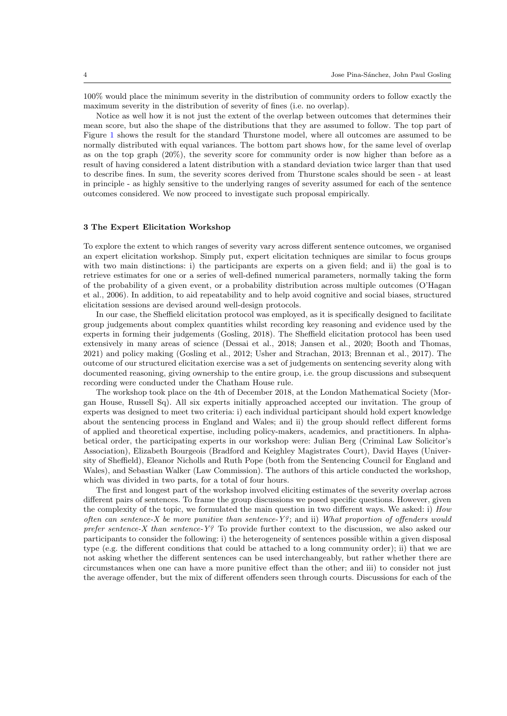100% would place the minimum severity in the distribution of community orders to follow exactly the maximum severity in the distribution of severity of fines (i.e. no overlap).

Notice as well how it is not just the extent of the overlap between outcomes that determines their mean score, but also the shape of the distributions that they are assumed to follow. The top part of Figure [1](#page-3-0) shows the result for the standard Thurstone model, where all outcomes are assumed to be normally distributed with equal variances. The bottom part shows how, for the same level of overlap as on the top graph (20%), the severity score for community order is now higher than before as a result of having considered a latent distribution with a standard deviation twice larger than that used to describe fines. In sum, the severity scores derived from Thurstone scales should be seen - at least in principle - as highly sensitive to the underlying ranges of severity assumed for each of the sentence outcomes considered. We now proceed to investigate such proposal empirically.

### 3 The Expert Elicitation Workshop

To explore the extent to which ranges of severity vary across different sentence outcomes, we organised an expert elicitation workshop. Simply put, expert elicitation techniques are similar to focus groups with two main distinctions: i) the participants are experts on a given field; and ii) the goal is to retrieve estimates for one or a series of well-defined numerical parameters, normally taking the form of the probability of a given event, or a probability distribution across multiple outcomes [\(O'Hagan](#page-15-9) [et al.,](#page-15-9) [2006\)](#page-15-9). In addition, to aid repeatability and to help avoid cognitive and social biases, structured elicitation sessions are devised around well-design protocols.

In our case, the Sheffield elicitation protocol was employed, as it is specifically designed to facilitate group judgements about complex quantities whilst recording key reasoning and evidence used by the experts in forming their judgements [\(Gosling,](#page-14-6) [2018\)](#page-14-6). The Sheffield elicitation protocol has been used extensively in many areas of science [\(Dessai et al.,](#page-13-7) [2018;](#page-13-7) [Jansen et al.,](#page-14-7) [2020;](#page-14-7) [Booth and Thomas,](#page-13-8) [2021\)](#page-13-8) and policy making [\(Gosling et al.,](#page-14-8) [2012;](#page-14-8) [Usher and Strachan,](#page-16-4) [2013;](#page-16-4) [Brennan et al.,](#page-13-9) [2017\)](#page-13-9). The outcome of our structured elicitation exercise was a set of judgements on sentencing severity along with documented reasoning, giving ownership to the entire group, i.e. the group discussions and subsequent recording were conducted under the Chatham House rule.

The workshop took place on the 4th of December 2018, at the London Mathematical Society (Morgan House, Russell Sq). All six experts initially approached accepted our invitation. The group of experts was designed to meet two criteria: i) each individual participant should hold expert knowledge about the sentencing process in England and Wales; and ii) the group should reflect different forms of applied and theoretical expertise, including policy-makers, academics, and practitioners. In alphabetical order, the participating experts in our workshop were: Julian Berg (Criminal Law Solicitor's Association), Elizabeth Bourgeois (Bradford and Keighley Magistrates Court), David Hayes (University of Sheffield), Eleanor Nicholls and Ruth Pope (both from the Sentencing Council for England and Wales), and Sebastian Walker (Law Commission). The authors of this article conducted the workshop, which was divided in two parts, for a total of four hours.

The first and longest part of the workshop involved eliciting estimates of the severity overlap across different pairs of sentences. To frame the group discussions we posed specific questions. However, given the complexity of the topic, we formulated the main question in two different ways. We asked: i) How often can sentence-X be more punitive than sentence-Y?; and ii) What proportion of offenders would prefer sentence-X than sentence-Y? To provide further context to the discussion, we also asked our participants to consider the following: i) the heterogeneity of sentences possible within a given disposal type (e.g. the different conditions that could be attached to a long community order); ii) that we are not asking whether the different sentences can be used interchangeably, but rather whether there are circumstances when one can have a more punitive effect than the other; and iii) to consider not just the average offender, but the mix of different offenders seen through courts. Discussions for each of the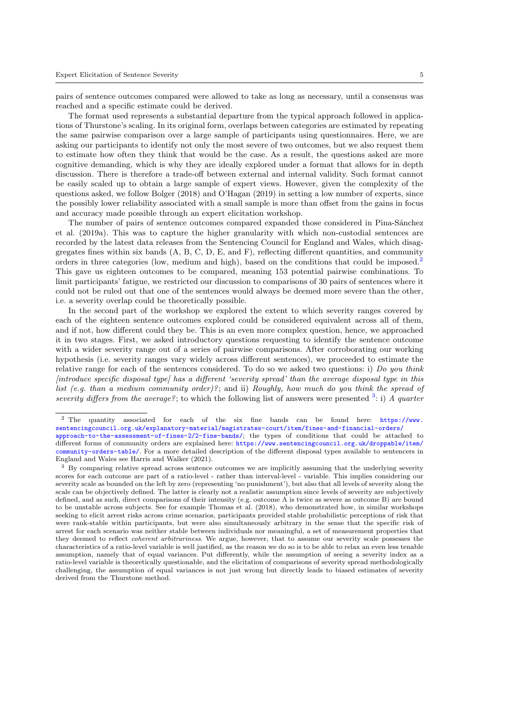pairs of sentence outcomes compared were allowed to take as long as necessary, until a consensus was reached and a specific estimate could be derived.

The format used represents a substantial departure from the typical approach followed in applications of Thurstone's scaling. In its original form, overlaps between categories are estimated by repeating the same pairwise comparison over a large sample of participants using questionnaires. Here, we are asking our participants to identify not only the most severe of two outcomes, but we also request them to estimate how often they think that would be the case. As a result, the questions asked are more cognitive demanding, which is why they are ideally explored under a format that allows for in depth discussion. There is therefore a trade-off between external and internal validity. Such format cannot be easily scaled up to obtain a large sample of expert views. However, given the complexity of the questions asked, we follow [Bolger](#page-13-10) [\(2018\)](#page-13-10) and [O'Hagan](#page-15-10) [\(2019\)](#page-15-10) in setting a low number of experts, since the possibly lower reliability associated with a small sample is more than offset from the gains in focus and accuracy made possible through an expert elicitation workshop.

The number of pairs of sentence outcomes compared expanded those considered in Pina-Sánchez [et al.](#page-15-4) [\(2019a\)](#page-15-4). This was to capture the higher granularity with which non-custodial sentences are recorded by the latest data releases from the Sentencing Council for England and Wales, which disaggregates fines within six bands  $(A, B, C, D, E, and F)$ , reflecting different quantities, and community orders in three categories (low, medium and high), based on the conditions that could be imposed.<sup>[2](#page-5-0)</sup> This gave us eighteen outcomes to be compared, meaning 153 potential pairwise combinations. To limit participants' fatigue, we restricted our discussion to comparisons of 30 pairs of sentences where it could not be ruled out that one of the sentences would always be deemed more severe than the other, i.e. a severity overlap could be theoretically possible.

In the second part of the workshop we explored the extent to which severity ranges covered by each of the eighteen sentence outcomes explored could be considered equivalent across all of them, and if not, how different could they be. This is an even more complex question, hence, we approached it in two stages. First, we asked introductory questions requesting to identify the sentence outcome with a wider severity range out of a series of pairwise comparisons. After corroborating our working hypothesis (i.e. severity ranges vary widely across different sentences), we proceeded to estimate the relative range for each of the sentences considered. To do so we asked two questions: i) Do you think [introduce specific disposal type] has a different 'severity spread' than the average disposal type in this list (e.g. than a medium community order)?; and ii) Roughly, how much do you think the spread of severity differs from the average?; to which the following list of answers were presented <sup>[3](#page-5-1)</sup>: i) A quarter

<span id="page-5-0"></span><sup>2</sup> The quantity associated for each of the six fine bands can be found here: [https://www.](https://www.sentencingcouncil.org.uk/explanatory-material/magistrates-court/item/fines-and-financial-orders/approach-to-the-assessment-of-fines-2/2-fine-bands/) [sentencingcouncil.org.uk/explanatory-material/magistrates-court/item/fines-and-financial-orders/](https://www.sentencingcouncil.org.uk/explanatory-material/magistrates-court/item/fines-and-financial-orders/approach-to-the-assessment-of-fines-2/2-fine-bands/) [approach-to-the-assessment-of-fines-2/2-fine-bands/](https://www.sentencingcouncil.org.uk/explanatory-material/magistrates-court/item/fines-and-financial-orders/approach-to-the-assessment-of-fines-2/2-fine-bands/); the types of conditions that could be attached to different forms of community orders are explained here: [https://www.sentencingcouncil.org.uk/droppable/item/](https://www.sentencingcouncil.org.uk/droppable/item/community-orders-table/) [community-orders-table/](https://www.sentencingcouncil.org.uk/droppable/item/community-orders-table/). For a more detailed description of the different disposal types available to sentencers in England and Wales see [Harris and Walker](#page-14-9) [\(2021\)](#page-14-9).

<span id="page-5-1"></span><sup>&</sup>lt;sup>3</sup> By comparing relative spread across sentence outcomes we are implicitly assuming that the underlying severity scores for each outcome are part of a ratio-level - rather than interval-level - variable. This implies considering our severity scale as bounded on the left by zero (representing 'no punishment'), but also that all levels of severity along the scale can be objectively defined. The latter is clearly not a realistic assumption since levels of severity are subjectively defined, and as such, direct comparisons of their intensity (e.g. outcome A is twice as severe as outcome B) are bound to be unstable across subjects. See for example [Thomas et al.](#page-15-11) [\(2018\)](#page-15-11), who demonstrated how, in similar workshops seeking to elicit arrest risks across crime scenarios, participants provided stable probabilistic perceptions of risk that were rank-stable within participants, but were also simultaneously arbitrary in the sense that the specific risk of arrest for each scenario was neither stable between individuals nor meaningful, a set of measurement properties that they deemed to reflect *coherent arbitrariness*. We argue, however, that to assume our severity scale possesses the characteristics of a ratio-level variable is well justified, as the reason we do so is to be able to relax an even less tenable assumption, namely that of equal variances. Put differently, while the assumption of seeing a severity index as a ratio-level variable is theoretically questionable, and the elicitation of comparisons of severity spread methodologically challenging, the assumption of equal variances is not just wrong but directly leads to biased estimates of severity derived from the Thurstone method.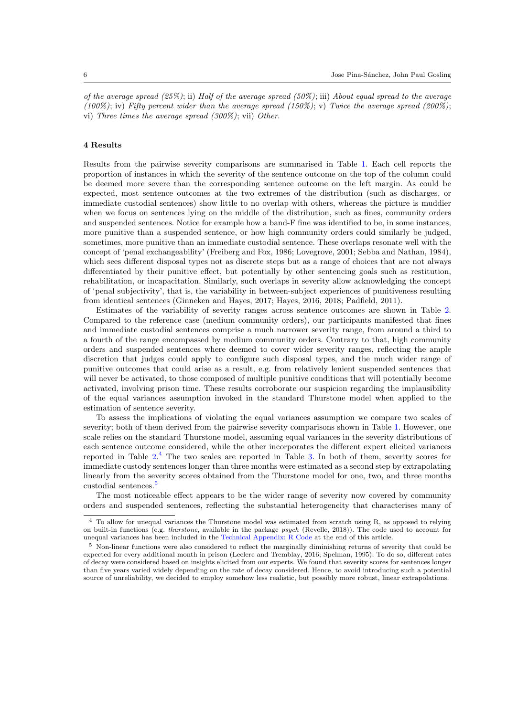of the average spread  $(25\%)$ ; ii) Half of the average spread  $(50\%)$ ; iii) About equal spread to the average  $(100\%)$ ; iv) Fifty percent wider than the average spread  $(150\%)$ ; v) Twice the average spread (200%); vi) Three times the average spread (300%); vii) Other.

## 4 Results

Results from the pairwise severity comparisons are summarised in Table [1.](#page-7-0) Each cell reports the proportion of instances in which the severity of the sentence outcome on the top of the column could be deemed more severe than the corresponding sentence outcome on the left margin. As could be expected, most sentence outcomes at the two extremes of the distribution (such as discharges, or immediate custodial sentences) show little to no overlap with others, whereas the picture is muddier when we focus on sentences lying on the middle of the distribution, such as fines, community orders and suspended sentences. Notice for example how a band-F fine was identified to be, in some instances, more punitive than a suspended sentence, or how high community orders could similarly be judged, sometimes, more punitive than an immediate custodial sentence. These overlaps resonate well with the concept of 'penal exchangeability' [\(Freiberg and Fox,](#page-13-0) [1986;](#page-13-0) [Lovegrove,](#page-14-10) [2001;](#page-14-10) [Sebba and Nathan,](#page-15-12) [1984\)](#page-15-12), which sees different disposal types not as discrete steps but as a range of choices that are not always differentiated by their punitive effect, but potentially by other sentencing goals such as restitution, rehabilitation, or incapacitation. Similarly, such overlaps in severity allow acknowledging the concept of 'penal subjectivity', that is, the variability in between-subject experiences of punitiveness resulting from identical sentences [\(Ginneken and Hayes,](#page-14-11) [2017;](#page-14-11) [Hayes,](#page-14-12) [2016,](#page-14-12) [2018;](#page-14-13) [Padfield,](#page-15-13) [2011\)](#page-15-13).

Estimates of the variability of severity ranges across sentence outcomes are shown in Table [2.](#page-8-0) Compared to the reference case (medium community orders), our participants manifested that fines and immediate custodial sentences comprise a much narrower severity range, from around a third to a fourth of the range encompassed by medium community orders. Contrary to that, high community orders and suspended sentences where deemed to cover wider severity ranges, reflecting the ample discretion that judges could apply to configure such disposal types, and the much wider range of punitive outcomes that could arise as a result, e.g. from relatively lenient suspended sentences that will never be activated, to those composed of multiple punitive conditions that will potentially become activated, involving prison time. These results corroborate our suspicion regarding the implausibility of the equal variances assumption invoked in the standard Thurstone model when applied to the estimation of sentence severity.

To assess the implications of violating the equal variances assumption we compare two scales of severity; both of them derived from the pairwise severity comparisons shown in Table [1.](#page-7-0) However, one scale relies on the standard Thurstone model, assuming equal variances in the severity distributions of each sentence outcome considered, while the other incorporates the different expert elicited variances reported in Table  $2<sup>4</sup>$  $2<sup>4</sup>$  $2<sup>4</sup>$ . The two scales are reported in Table [3.](#page-8-1) In both of them, severity scores for immediate custody sentences longer than three months were estimated as a second step by extrapolating linearly from the severity scores obtained from the Thurstone model for one, two, and three months custodial sentences.[5](#page-6-1)

The most noticeable effect appears to be the wider range of severity now covered by community orders and suspended sentences, reflecting the substantial heterogeneity that characterises many of

<span id="page-6-0"></span><sup>4</sup> To allow for unequal variances the Thurstone model was estimated from scratch using R, as opposed to relying on built-in functions (e.g. thurstone, available in the package psych [\(Revelle,](#page-15-14) [2018\)](#page-15-14)). The code used to account for unequal variances has been included in the [Technical Appendix: R Code](#page-17-0) at the end of this article.

<span id="page-6-1"></span><sup>5</sup> Non-linear functions were also considered to reflect the marginally diminishing returns of severity that could be expected for every additional month in prison [\(Leclerc and Tremblay,](#page-14-3) [2016;](#page-14-3) [Spelman,](#page-15-2) [1995\)](#page-15-2). To do so, different rates of decay were considered based on insights elicited from our experts. We found that severity scores for sentences longer than five years varied widely depending on the rate of decay considered. Hence, to avoid introducing such a potential source of unreliability, we decided to employ somehow less realistic, but possibly more robust, linear extrapolations.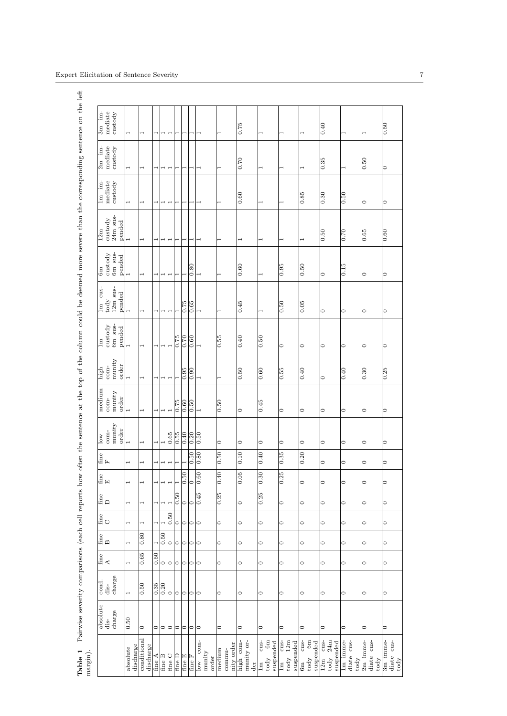| 3m im-<br>mediate<br>$\custody$                                                 | $\overline{\phantom{0}}$ |                          |                          |                          |                          |                          | ⊣                 | 1                 |                                    |                                | 0.75                           |                                                         |                                             |                                                | $\frac{1}{0.40}$                                                              |                                |                                            | 0.50                                                                                    |
|---------------------------------------------------------------------------------|--------------------------|--------------------------|--------------------------|--------------------------|--------------------------|--------------------------|-------------------|-------------------|------------------------------------|--------------------------------|--------------------------------|---------------------------------------------------------|---------------------------------------------|------------------------------------------------|-------------------------------------------------------------------------------|--------------------------------|--------------------------------------------|-----------------------------------------------------------------------------------------|
| $2m$ im-<br>mediate<br>$\cos\omega$                                             | ⊣                        |                          |                          |                          |                          |                          | $\overline{}$     | $\overline{ }$    |                                    |                                | 0.70                           | 1                                                       |                                             |                                                | $\frac{35}{2}$                                                                | ⊣                              | 0.50                                       | $\circ$                                                                                 |
| $1m$ im-<br>mediate<br>$\custody$                                               | $\overline{\phantom{0}}$ | $\overline{ }$           | $\overline{\phantom{0}}$ | $\overline{\phantom{0}}$ | 1                        | $\overline{ }$           | 1                 | $\overline{ }$    | $\overline{ }$                     | $\overline{ }$                 | 0.60                           | $\overline{ }$                                          | ⊣                                           | $\frac{85}{0.85}$                              | $\frac{30}{2}$                                                                | 0.50                           | $\circ$                                    | $\circ$                                                                                 |
| $24m$ sus-<br>$\cos \theta$<br>pended<br>12m                                    |                          |                          |                          |                          |                          |                          |                   | $\overline{ }$    |                                    | $\overline{\phantom{0}}$       | $\overline{ }$                 |                                                         |                                             |                                                | $\overline{0.50}$                                                             | 0.70                           | 0.65                                       | 0.60                                                                                    |
| 6m sus-<br>$\custody$<br>$_{\rm pended}$<br>6m                                  | $\overline{a}$           | $\overline{ }$           | $\overline{\phantom{0}}$ | ⊣                        | $\overline{\phantom{0}}$ |                          |                   | 0.80              | ۰                                  | 1                              | 0.60                           | 1                                                       | $\frac{6.0}{26}$                            | $\frac{0.50}{\sqrt{2}}$                        | $\circ$                                                                       | 0.15                           | $\circ$                                    | $\circ$                                                                                 |
| 1m cus-<br>$12m$ sus-<br>pended<br>$_{\rm today}$                               |                          |                          |                          |                          |                          |                          | $\frac{62.0}{2}$  | 0.65              |                                    |                                | 0.45                           |                                                         | $\frac{60}{30}$                             | $\frac{6}{5}$                                  | ○                                                                             | $\circ$                        | $\circ$                                    | $\circ$                                                                                 |
| 6m sus-<br>$\cos\omega$<br>pended<br>1m                                         | $\overline{\phantom{0}}$ | $\overline{ }$           | ⊣                        |                          |                          | $\frac{622}{10}$         | $\frac{0.70}{2}$  | 0.60              | $\overline{\phantom{0}}$           | 0.55                           | 0.40                           | 0.50                                                    | $\circ$                                     | $\circ$                                        | 0                                                                             | $\circ$                        | $\circ$                                    | $\circ$                                                                                 |
| munity<br>order<br>$com-$<br>high                                               |                          |                          |                          |                          |                          |                          | $\overline{0.95}$ | $\overline{0.90}$ |                                    |                                | $\overline{0.50}$              | 0.60                                                    | $\frac{65}{35}$                             | 0.40                                           | ○                                                                             | 0.40                           | 0.30                                       | 0.25                                                                                    |
| medium<br>munity<br>order<br>$com-$                                             | $\overline{ }$           | ⊣                        | ⊣                        |                          |                          | $\frac{62.0}{2}$         | $\overline{0.60}$ | 0.50              | H                                  | 0.50                           | $\circ$                        | 0.45                                                    | $\circ$                                     | $\circ$                                        | ○                                                                             | $\circ$                        | $\circ$                                    | $\circ$                                                                                 |
| munity<br>order<br>$com-$<br>$\log$                                             | $\overline{\phantom{0}}$ | 1                        | $\overline{\phantom{0}}$ |                          | 0.65                     | $\overline{0.55}$        | 0.40              | $\overline{0.20}$ | $\overline{0.50}$                  | $\circ$                        | $\circ$                        | $\circ$                                                 | $\circ$                                     | $\circ$                                        | $\circ$                                                                       | $\circ$                        | $\circ$                                    | $\circ$                                                                                 |
| fine<br>F                                                                       |                          |                          | $\overline{ }$           | $\overline{ }$           | $\mathbf{r}$             | $\overline{\phantom{0}}$ |                   | 0.50              | 0.80                               | 0.50                           | 0.10                           | 0.40                                                    | $\overline{0.35}$                           | $\overline{0.20}$                              | $\circ$                                                                       | $\circ$                        | $\circ$                                    | $\circ$                                                                                 |
| fine<br>E                                                                       | $\overline{\phantom{0}}$ | 1                        | $\overline{ }$           | $\overline{\phantom{0}}$ |                          |                          | $\frac{0.50}{\ }$ | $\circ$           | $\overline{0.60}$                  | 0.40                           | $\overline{0.05}$              | 0.30                                                    | $\overline{0.25}$                           | $\circ$                                        | $\circ$                                                                       | $\circ$                        | $\circ$                                    | $\circ$                                                                                 |
| fine<br>$\Box$                                                                  | $\overline{\phantom{0}}$ |                          |                          |                          |                          | $\overline{0.50}$        | $\circ$           | $\circ$           | 0.45                               | 0.25                           | $\circ$                        | 0.25                                                    | $\circ$                                     | $\circ$                                        | $\circ$                                                                       | $\circ$                        | $\circ$                                    | $\circ$                                                                                 |
| fine<br>C                                                                       |                          |                          |                          |                          | $\frac{0.50}{2}$         | $\circ$                  | 0                 | ∣⊝∣               |                                    | $\circ$                        | $\circ$                        | $\circ$                                                 | $\circ$                                     | $\circ$                                        | $\circ$                                                                       | $\circ$                        | $\circ$                                    | $\circ$                                                                                 |
| fine<br>B                                                                       | ۰                        | 0.80                     |                          | $\frac{50}{2}$           | $\circ$                  | $\circ$                  | ∣⊂                | ∣⊝∣               |                                    | $\circ$                        | $\circ$                        | $\circ$                                                 | $\circ$                                     | $\circ$                                        | $\circ$                                                                       | $\circ$                        | $\circ$                                    | $\circ$                                                                                 |
| fine<br>A                                                                       |                          | 0.65                     | $\frac{0.50}{\sqrt{2}}$  | 0                        | $\circ$                  | 0                        |                   | ∣೦∣೦              |                                    | $\circ$                        | $\circ$                        | $\circ$                                                 | $\circ$                                     | $\circ$                                        | $\circ$                                                                       | $\circ$                        | $\circ$                                    | $\circ$                                                                                 |
| charge<br>cond.<br>dis-                                                         | $\overline{\phantom{0}}$ | $\frac{0.50}{2}$         | $\frac{35}{10}$          | $\frac{0.20}{2}$         | $\circ$                  | $\circ$                  | ∣⊂                | ∣∣⊃               |                                    | $\circ$                        | $\circ$                        | $\circ$                                                 | $\circ$                                     | $\circ$                                        | $\circ$                                                                       | $\circ$                        | $\circ$                                    | $\circ$                                                                                 |
| $\begin{array}{c} \text{absolute}\\ \text{dis-} \end{array}$<br>$_{\rm charge}$ | 0.50                     | $\circ$                  | 0                        | ∣⊂                       |                          | 000                      |                   | ∣∣⊙               |                                    | $\circ$                        | $\circ$                        | $\circ$                                                 | $\circ$                                     | $\circ$                                        | $\circ$                                                                       | $\circ$                        | $\circ$                                    | $\circ$                                                                                 |
|                                                                                 | discharge<br>absolute    | conditional<br>discharge | fine A                   | fine B                   | fine C                   | fine D                   | fine E            | fine F            | low com-<br>$_{\rm many}$<br>order | nity order<br>medium<br>commu- | munity or-<br>high com-<br>der | $6\rm{m}$<br>cus-<br>suspended<br>$\lim_{\text{to dy}}$ | $today$ 12 $m$<br>$\cos$<br>suspended<br>1m | $_{\rm cm}^{\rm c}$<br>suspended<br>tody<br>6m | $24\rm{m}$<br>$\frac{1}{2}$<br>suspended<br>$\frac{12m}{m}$<br>$\text{today}$ | diate cus-<br>lm imme-<br>tody | diate cus-<br>$2m$ imme-<br>$\text{today}$ | 3m imme-<br>$\begin{array}{ll} {\rm{diate}} & {\rm{cus}} \\ {\rm{today}} & \end{array}$ |

## <span id="page-7-0"></span>Expert Elicitation of Sentence Severity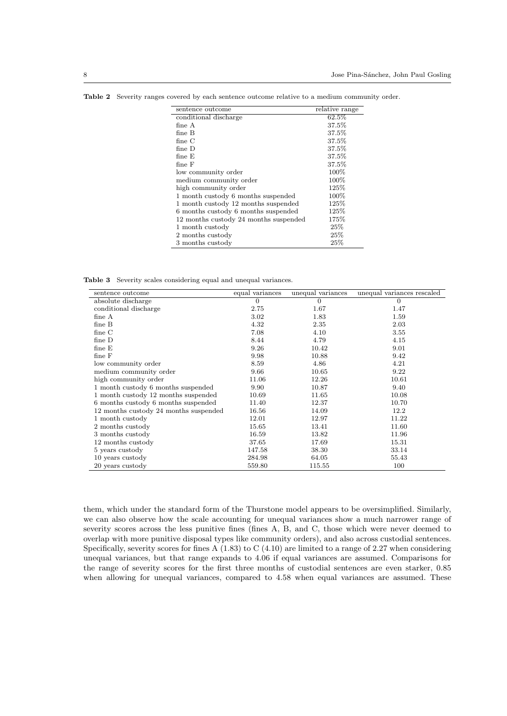| sentence outcome                      | relative range |
|---------------------------------------|----------------|
| conditional discharge                 | 62.5%          |
| fine A                                | 37.5%          |
| fine B                                | 37.5%          |
| fine $C$                              | 37.5%          |
| $fine$ D                              | 37.5%          |
| fine E                                | 37.5%          |
| $fine$ $F$                            | 37.5%          |
| low community order                   | 100%           |
| medium community order                | 100%           |
| high community order                  | 125\%          |
| 1 month custody 6 months suspended    | $100\%$        |
| 1 month custody 12 months suspended   | 125\%          |
| 6 months custody 6 months suspended   | 125\%          |
| 12 months custody 24 months suspended | 175%           |
| 1 month custody                       | 25%            |
| 2 months custody                      | 25%            |
| 3 months custody                      | 25%            |

<span id="page-8-0"></span>Table 2 Severity ranges covered by each sentence outcome relative to a medium community order.

Table 3 Severity scales considering equal and unequal variances.

<span id="page-8-1"></span>

| sentence outcome                      | equal variances | unequal variances | unequal variances rescaled |
|---------------------------------------|-----------------|-------------------|----------------------------|
| absolute discharge                    | $\overline{0}$  | $\overline{0}$    | $\overline{0}$             |
| conditional discharge                 | 2.75            | 1.67              | 1.47                       |
| fine A                                | 3.02            | 1.83              | 1.59                       |
| fine B                                | 4.32            | 2.35              | 2.03                       |
| fine C                                | 7.08            | 4.10              | 3.55                       |
| fine $D$                              | 8.44            | 4.79              | 4.15                       |
| fine E                                | 9.26            | 10.42             | 9.01                       |
| $fine \nF$                            | 9.98            | 10.88             | 9.42                       |
| low community order                   | 8.59            | 4.86              | 4.21                       |
| medium community order                | 9.66            | 10.65             | 9.22                       |
| high community order                  | 11.06           | 12.26             | 10.61                      |
| 1 month custody 6 months suspended    | 9.90            | 10.87             | 9.40                       |
| 1 month custody 12 months suspended   | 10.69           | 11.65             | 10.08                      |
| 6 months custody 6 months suspended   | 11.40           | 12.37             | 10.70                      |
| 12 months custody 24 months suspended | 16.56           | 14.09             | 12.2                       |
| 1 month custody                       | 12.01           | 12.97             | 11.22                      |
| 2 months custody                      | 15.65           | 13.41             | 11.60                      |
| 3 months custody                      | 16.59           | 13.82             | 11.96                      |
| 12 months custody                     | 37.65           | 17.69             | 15.31                      |
| 5 years custody                       | 147.58          | 38.30             | 33.14                      |
| 10 years custody                      | 284.98          | 64.05             | 55.43                      |
| 20 years custody                      | 559.80          | 115.55            | 100                        |

them, which under the standard form of the Thurstone model appears to be oversimplified. Similarly, we can also observe how the scale accounting for unequal variances show a much narrower range of severity scores across the less punitive fines (fines A, B, and C, those which were never deemed to overlap with more punitive disposal types like community orders), and also across custodial sentences. Specifically, severity scores for fines A  $(1.83)$  to C  $(4.10)$  are limited to a range of 2.27 when considering unequal variances, but that range expands to 4.06 if equal variances are assumed. Comparisons for the range of severity scores for the first three months of custodial sentences are even starker, 0.85 when allowing for unequal variances, compared to 4.58 when equal variances are assumed. These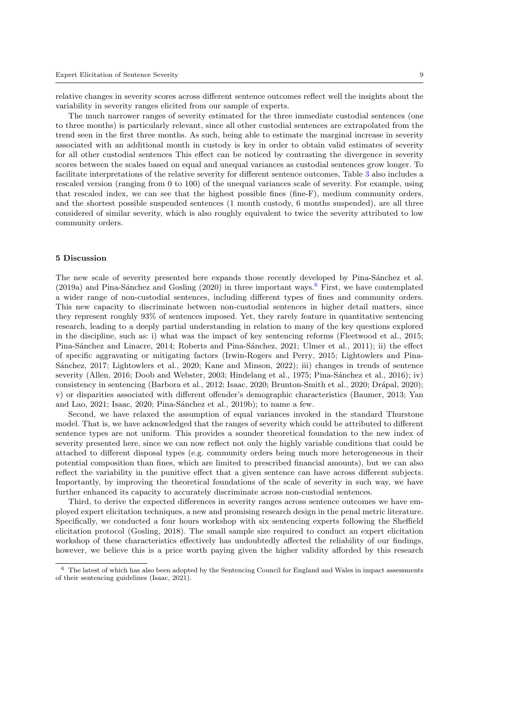relative changes in severity scores across different sentence outcomes reflect well the insights about the variability in severity ranges elicited from our sample of experts.

The much narrower ranges of severity estimated for the three immediate custodial sentences (one to three months) is particularly relevant, since all other custodial sentences are extrapolated from the trend seen in the first three months. As such, being able to estimate the marginal increase in severity associated with an additional month in custody is key in order to obtain valid estimates of severity for all other custodial sentences This effect can be noticed by contrasting the divergence in severity scores between the scales based on equal and unequal variances as custodial sentences grow longer. To facilitate interpretations of the relative severity for different sentence outcomes, Table [3](#page-8-1) also includes a rescaled version (ranging from 0 to 100) of the unequal variances scale of severity. For example, using that rescaled index, we can see that the highest possible fines (fine-F), medium community orders, and the shortest possible suspended sentences (1 month custody, 6 months suspended), are all three considered of similar severity, which is also roughly equivalent to twice the severity attributed to low community orders.

### 5 Discussion

The new scale of severity presented here expands those recently developed by Pina-Sánchez et al.  $(2019a)$  and Pina-Sánchez and Gosling [\(2020\)](#page-15-1) in three important ways.<sup>[6](#page-9-0)</sup> First, we have contemplated a wider range of non-custodial sentences, including different types of fines and community orders. This new capacity to discriminate between non-custodial sentences in higher detail matters, since they represent roughly 93% of sentences imposed. Yet, they rarely feature in quantitative sentencing research, leading to a deeply partial understanding in relation to many of the key questions explored in the discipline, such as: i) what was the impact of key sentencing reforms [\(Fleetwood et al.,](#page-13-11) [2015;](#page-13-11) Pina-Sánchez and Linacre, [2014;](#page-15-15) Roberts and Pina-Sánchez, [2021;](#page-15-16) [Ulmer et al.,](#page-16-5) [2011\)](#page-16-5); ii) the effect of specific aggravating or mitigating factors [\(Irwin-Rogers and Perry,](#page-14-14) [2015;](#page-14-14) [Lightowlers and Pina-](#page-14-15)Sánchez, [2017;](#page-14-15) [Lightowlers et al.,](#page-14-16) [2020;](#page-14-16) [Kane and Minson,](#page-14-17) [2022\)](#page-14-17); iii) changes in trends of sentence severity [\(Allen,](#page-13-12) [2016;](#page-13-12) [Doob and Webster,](#page-13-13) [2003;](#page-13-13) [Hindelang et al.,](#page-14-18) [1975;](#page-14-18) Pina-Sánchez et al., [2016\)](#page-15-17); iv) consistency in sentencing [\(Barbora et al.,](#page-13-14) [2012;](#page-13-14) [Isaac,](#page-14-19) [2020;](#page-13-15) [Brunton-Smith et al.,](#page-13-15) 2020; Drápal, [2020\)](#page-13-16); v) or disparities associated with different offender's demographic characteristics [\(Baumer,](#page-13-17) [2013;](#page-13-17) [Yan](#page-16-1) [and Lao,](#page-16-1) [2021;](#page-16-1) [Isaac,](#page-14-19) [2020;](#page-14-19) Pina-Sánchez et al., [2019b\)](#page-15-18); to name a few.

Second, we have relaxed the assumption of equal variances invoked in the standard Thurstone model. That is, we have acknowledged that the ranges of severity which could be attributed to different sentence types are not uniform. This provides a sounder theoretical foundation to the new index of severity presented here, since we can now reflect not only the highly variable conditions that could be attached to different disposal types (e.g. community orders being much more heterogeneous in their potential composition than fines, which are limited to prescribed financial amounts), but we can also reflect the variability in the punitive effect that a given sentence can have across different subjects. Importantly, by improving the theoretical foundations of the scale of severity in such way, we have further enhanced its capacity to accurately discriminate across non-custodial sentences.

Third, to derive the expected differences in severity ranges across sentence outcomes we have employed expert elicitation techniques, a new and promising research design in the penal metric literature. Specifically, we conducted a four hours workshop with six sentencing experts following the Sheffield elicitation protocol [\(Gosling,](#page-14-6) [2018\)](#page-14-6). The small sample size required to conduct an expert elicitation workshop of these characteristics effectively has undoubtedly affected the reliability of our findings, however, we believe this is a price worth paying given the higher validity afforded by this research

<span id="page-9-0"></span> $6$  The latest of which has also been adopted by the Sentencing Council for England and Wales in impact assessments of their sentencing guidelines [\(Isaac,](#page-14-5) [2021\)](#page-14-5).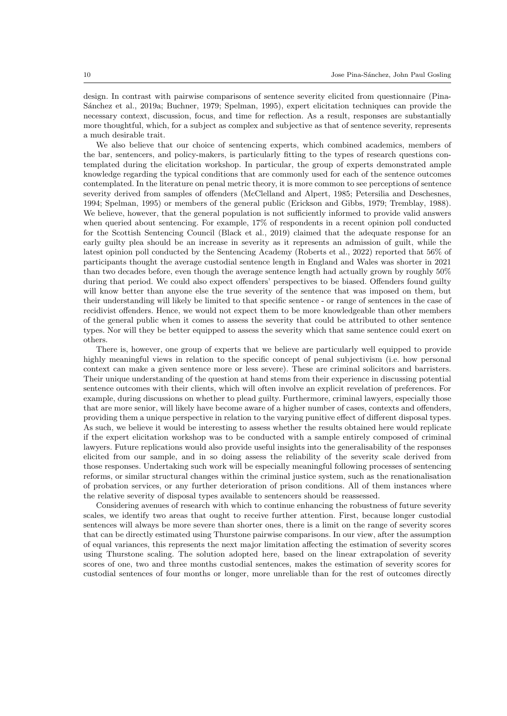design. In contrast with pairwise comparisons of sentence severity elicited from questionnaire [\(Pina-](#page-15-4)Sánchez et al., [2019a;](#page-15-4) [Buchner,](#page-13-6) [1979;](#page-13-6) [Spelman,](#page-15-2) [1995\)](#page-15-2), expert elicitation techniques can provide the necessary context, discussion, focus, and time for reflection. As a result, responses are substantially more thoughtful, which, for a subject as complex and subjective as that of sentence severity, represents a much desirable trait.

We also believe that our choice of sentencing experts, which combined academics, members of the bar, sentencers, and policy-makers, is particularly fitting to the types of research questions contemplated during the elicitation workshop. In particular, the group of experts demonstrated ample knowledge regarding the typical conditions that are commonly used for each of the sentence outcomes contemplated. In the literature on penal metric theory, it is more common to see perceptions of sentence severity derived from samples of offenders [\(McClelland and Alpert,](#page-15-19) [1985;](#page-15-19) [Petersilia and Deschesnes,](#page-15-20) [1994;](#page-15-20) [Spelman,](#page-15-2) [1995\)](#page-15-2) or members of the general public [\(Erickson and Gibbs,](#page-13-18) [1979;](#page-13-18) [Tremblay,](#page-16-2) [1988\)](#page-16-2). We believe, however, that the general population is not sufficiently informed to provide valid answers when queried about sentencing. For example, 17% of respondents in a recent opinion poll conducted for the Scottish Sentencing Council [\(Black et al.,](#page-13-19) [2019\)](#page-13-19) claimed that the adequate response for an early guilty plea should be an increase in severity as it represents an admission of guilt, while the latest opinion poll conducted by the Sentencing Academy [\(Roberts et al.,](#page-15-21) [2022\)](#page-15-21) reported that 56% of participants thought the average custodial sentence length in England and Wales was shorter in 2021 than two decades before, even though the average sentence length had actually grown by roughly 50% during that period. We could also expect offenders' perspectives to be biased. Offenders found guilty will know better than anyone else the true severity of the sentence that was imposed on them, but their understanding will likely be limited to that specific sentence - or range of sentences in the case of recidivist offenders. Hence, we would not expect them to be more knowledgeable than other members of the general public when it comes to assess the severity that could be attributed to other sentence types. Nor will they be better equipped to assess the severity which that same sentence could exert on others.

There is, however, one group of experts that we believe are particularly well equipped to provide highly meaningful views in relation to the specific concept of penal subjectivism (i.e. how personal context can make a given sentence more or less severe). These are criminal solicitors and barristers. Their unique understanding of the question at hand stems from their experience in discussing potential sentence outcomes with their clients, which will often involve an explicit revelation of preferences. For example, during discussions on whether to plead guilty. Furthermore, criminal lawyers, especially those that are more senior, will likely have become aware of a higher number of cases, contexts and offenders, providing them a unique perspective in relation to the varying punitive effect of different disposal types. As such, we believe it would be interesting to assess whether the results obtained here would replicate if the expert elicitation workshop was to be conducted with a sample entirely composed of criminal lawyers. Future replications would also provide useful insights into the generalisability of the responses elicited from our sample, and in so doing assess the reliability of the severity scale derived from those responses. Undertaking such work will be especially meaningful following processes of sentencing reforms, or similar structural changes within the criminal justice system, such as the renationalisation of probation services, or any further deterioration of prison conditions. All of them instances where the relative severity of disposal types available to sentencers should be reassessed.

Considering avenues of research with which to continue enhancing the robustness of future severity scales, we identify two areas that ought to receive further attention. First, because longer custodial sentences will always be more severe than shorter ones, there is a limit on the range of severity scores that can be directly estimated using Thurstone pairwise comparisons. In our view, after the assumption of equal variances, this represents the next major limitation affecting the estimation of severity scores using Thurstone scaling. The solution adopted here, based on the linear extrapolation of severity scores of one, two and three months custodial sentences, makes the estimation of severity scores for custodial sentences of four months or longer, more unreliable than for the rest of outcomes directly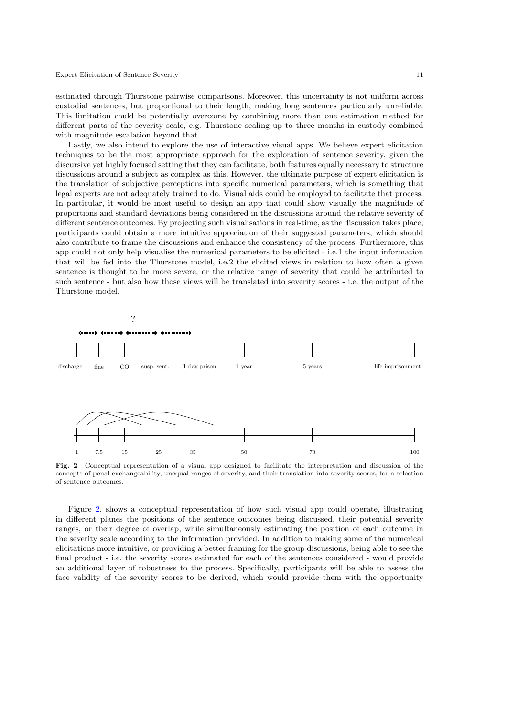estimated through Thurstone pairwise comparisons. Moreover, this uncertainty is not uniform across custodial sentences, but proportional to their length, making long sentences particularly unreliable. This limitation could be potentially overcome by combining more than one estimation method for different parts of the severity scale, e.g. Thurstone scaling up to three months in custody combined with magnitude escalation beyond that.

Lastly, we also intend to explore the use of interactive visual apps. We believe expert elicitation techniques to be the most appropriate approach for the exploration of sentence severity, given the discursive yet highly focused setting that they can facilitate, both features equally necessary to structure discussions around a subject as complex as this. However, the ultimate purpose of expert elicitation is the translation of subjective perceptions into specific numerical parameters, which is something that legal experts are not adequately trained to do. Visual aids could be employed to facilitate that process. In particular, it would be most useful to design an app that could show visually the magnitude of proportions and standard deviations being considered in the discussions around the relative severity of different sentence outcomes. By projecting such visualisations in real-time, as the discussion takes place, participants could obtain a more intuitive appreciation of their suggested parameters, which should also contribute to frame the discussions and enhance the consistency of the process. Furthermore, this app could not only help visualise the numerical parameters to be elicited - i.e.1 the input information that will be fed into the Thurstone model, i.e.2 the elicited views in relation to how often a given sentence is thought to be more severe, or the relative range of severity that could be attributed to such sentence - but also how those views will be translated into severity scores - i.e. the output of the Thurstone model.



<span id="page-11-0"></span>Fig. 2 Conceptual representation of a visual app designed to facilitate the interpretation and discussion of the concepts of penal exchangeability, unequal ranges of severity, and their translation into severity scores, for a selection of sentence outcomes.

Figure [2,](#page-11-0) shows a conceptual representation of how such visual app could operate, illustrating in different planes the positions of the sentence outcomes being discussed, their potential severity ranges, or their degree of overlap, while simultaneously estimating the position of each outcome in the severity scale according to the information provided. In addition to making some of the numerical elicitations more intuitive, or providing a better framing for the group discussions, being able to see the final product - i.e. the severity scores estimated for each of the sentences considered - would provide an additional layer of robustness to the process. Specifically, participants will be able to assess the face validity of the severity scores to be derived, which would provide them with the opportunity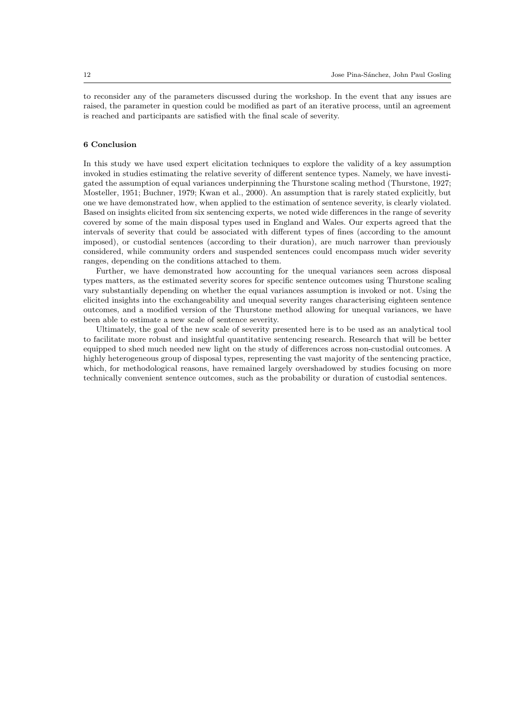to reconsider any of the parameters discussed during the workshop. In the event that any issues are raised, the parameter in question could be modified as part of an iterative process, until an agreement is reached and participants are satisfied with the final scale of severity.

### 6 Conclusion

In this study we have used expert elicitation techniques to explore the validity of a key assumption invoked in studies estimating the relative severity of different sentence types. Namely, we have investigated the assumption of equal variances underpinning the Thurstone scaling method [\(Thurstone,](#page-16-3) [1927;](#page-16-3) [Mosteller,](#page-15-8) [1951;](#page-15-8) [Buchner,](#page-13-6) [1979;](#page-13-6) [Kwan et al.,](#page-14-20) [2000\)](#page-14-20). An assumption that is rarely stated explicitly, but one we have demonstrated how, when applied to the estimation of sentence severity, is clearly violated. Based on insights elicited from six sentencing experts, we noted wide differences in the range of severity covered by some of the main disposal types used in England and Wales. Our experts agreed that the intervals of severity that could be associated with different types of fines (according to the amount imposed), or custodial sentences (according to their duration), are much narrower than previously considered, while community orders and suspended sentences could encompass much wider severity ranges, depending on the conditions attached to them.

Further, we have demonstrated how accounting for the unequal variances seen across disposal types matters, as the estimated severity scores for specific sentence outcomes using Thurstone scaling vary substantially depending on whether the equal variances assumption is invoked or not. Using the elicited insights into the exchangeability and unequal severity ranges characterising eighteen sentence outcomes, and a modified version of the Thurstone method allowing for unequal variances, we have been able to estimate a new scale of sentence severity.

Ultimately, the goal of the new scale of severity presented here is to be used as an analytical tool to facilitate more robust and insightful quantitative sentencing research. Research that will be better equipped to shed much needed new light on the study of differences across non-custodial outcomes. A highly heterogeneous group of disposal types, representing the vast majority of the sentencing practice, which, for methodological reasons, have remained largely overshadowed by studies focusing on more technically convenient sentence outcomes, such as the probability or duration of custodial sentences.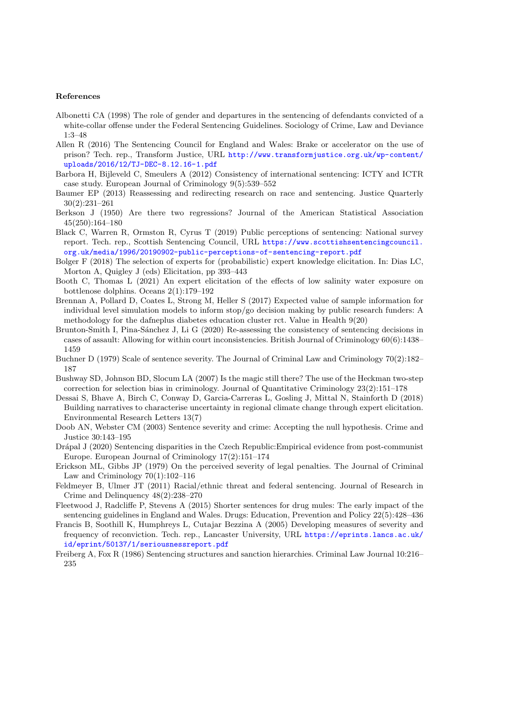#### References

- <span id="page-13-3"></span>Albonetti CA (1998) The role of gender and departures in the sentencing of defendants convicted of a white-collar offense under the Federal Sentencing Guidelines. Sociology of Crime, Law and Deviance 1:3–48
- <span id="page-13-12"></span>Allen R (2016) The Sentencing Council for England and Wales: Brake or accelerator on the use of prison? Tech. rep., Transform Justice, URL [http://www.transformjustice.org.uk/wp-content/](http://www.transformjustice.org.uk/wp-content/uploads/2016/12/TJ-DEC-8.12.16-1.pdf) [uploads/2016/12/TJ-DEC-8.12.16-1.pdf](http://www.transformjustice.org.uk/wp-content/uploads/2016/12/TJ-DEC-8.12.16-1.pdf)
- <span id="page-13-14"></span>Barbora H, Bijleveld C, Smeulers A (2012) Consistency of international sentencing: ICTY and ICTR case study. European Journal of Criminology 9(5):539–552
- <span id="page-13-17"></span>Baumer EP (2013) Reassessing and redirecting research on race and sentencing. Justice Quarterly 30(2):231–261
- <span id="page-13-2"></span>Berkson J (1950) Are there two regressions? Journal of the American Statistical Association 45(250):164–180
- <span id="page-13-19"></span>Black C, Warren R, Ormston R, Cyrus T (2019) Public perceptions of sentencing: National survey report. Tech. rep., Scottish Sentencing Council, URL [https://www.scottishsentencingcouncil.](https://www.scottishsentencingcouncil.org.uk/media/1996/20190902-public-perceptions-of-sentencing-report.pdf) [org.uk/media/1996/20190902-public-perceptions-of-sentencing-report.pdf](https://www.scottishsentencingcouncil.org.uk/media/1996/20190902-public-perceptions-of-sentencing-report.pdf)
- <span id="page-13-10"></span>Bolger F (2018) The selection of experts for (probabilistic) expert knowledge elicitation. In: Dias LC, Morton A, Quigley J (eds) Elicitation, pp 393–443
- <span id="page-13-8"></span>Booth C, Thomas L (2021) An expert elicitation of the effects of low salinity water exposure on bottlenose dolphins. Oceans 2(1):179–192
- <span id="page-13-9"></span>Brennan A, Pollard D, Coates L, Strong M, Heller S (2017) Expected value of sample information for individual level simulation models to inform stop/go decision making by public research funders: A methodology for the dafneplus diabetes education cluster rct. Value in Health 9(20)
- <span id="page-13-15"></span>Brunton-Smith I, Pina-Sánchez J, Li G (2020) Re-assessing the consistency of sentencing decisions in cases of assault: Allowing for within court inconsistencies. British Journal of Criminology 60(6):1438– 1459
- <span id="page-13-6"></span>Buchner D (1979) Scale of sentence severity. The Journal of Criminal Law and Criminology 70(2):182– 187
- <span id="page-13-1"></span>Bushway SD, Johnson BD, Slocum LA (2007) Is the magic still there? The use of the Heckman two-step correction for selection bias in criminology. Journal of Quantitative Criminology 23(2):151–178
- <span id="page-13-7"></span>Dessai S, Bhave A, Birch C, Conway D, Garcia-Carreras L, Gosling J, Mittal N, Stainforth D (2018) Building narratives to characterise uncertainty in regional climate change through expert elicitation. Environmental Research Letters 13(7)
- <span id="page-13-13"></span>Doob AN, Webster CM (2003) Sentence severity and crime: Accepting the null hypothesis. Crime and Justice 30:143–195
- <span id="page-13-16"></span>Drápal J (2020) Sentencing disparities in the Czech Republic: Empirical evidence from post-communist Europe. European Journal of Criminology 17(2):151–174
- <span id="page-13-18"></span>Erickson ML, Gibbs JP (1979) On the perceived severity of legal penalties. The Journal of Criminal Law and Criminology  $70(1):102-116$
- <span id="page-13-4"></span>Feldmeyer B, Ulmer JT (2011) Racial/ethnic threat and federal sentencing. Journal of Research in Crime and Delinquency 48(2):238–270
- <span id="page-13-11"></span>Fleetwood J, Radcliffe P, Stevens A (2015) Shorter sentences for drug mules: The early impact of the sentencing guidelines in England and Wales. Drugs: Education, Prevention and Policy 22(5):428–436
- <span id="page-13-5"></span>Francis B, Soothill K, Humphreys L, Cutajar Bezzina A (2005) Developing measures of severity and frequency of reconviction. Tech. rep., Lancaster University, URL [https://eprints.lancs.ac.uk/](https://eprints.lancs.ac.uk/id/eprint/50137/1/seriousnessreport.pdf) [id/eprint/50137/1/seriousnessreport.pdf](https://eprints.lancs.ac.uk/id/eprint/50137/1/seriousnessreport.pdf)
- <span id="page-13-0"></span>Freiberg A, Fox R (1986) Sentencing structures and sanction hierarchies. Criminal Law Journal 10:216– 235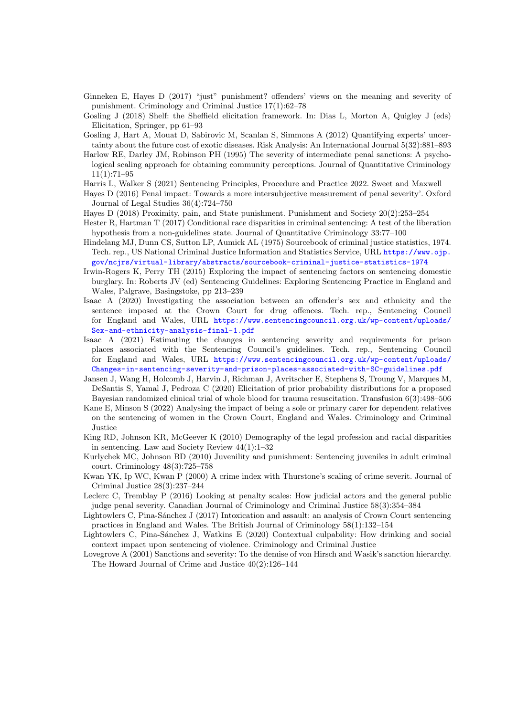- <span id="page-14-11"></span>Ginneken E, Hayes D (2017) "just" punishment? offenders' views on the meaning and severity of punishment. Criminology and Criminal Justice 17(1):62–78
- <span id="page-14-6"></span>Gosling J (2018) Shelf: the Sheffield elicitation framework. In: Dias L, Morton A, Quigley J (eds) Elicitation, Springer, pp 61–93
- <span id="page-14-8"></span>Gosling J, Hart A, Mouat D, Sabirovic M, Scanlan S, Simmons A (2012) Quantifying experts' uncertainty about the future cost of exotic diseases. Risk Analysis: An International Journal 5(32):881–893
- <span id="page-14-4"></span>Harlow RE, Darley JM, Robinson PH (1995) The severity of intermediate penal sanctions: A psychological scaling approach for obtaining community perceptions. Journal of Quantitative Criminology 11(1):71–95
- <span id="page-14-9"></span>Harris L, Walker S (2021) Sentencing Principles, Procedure and Practice 2022. Sweet and Maxwell
- <span id="page-14-12"></span>Hayes D (2016) Penal impact: Towards a more intersubjective measurement of penal severity'. Oxford Journal of Legal Studies 36(4):724–750
- <span id="page-14-13"></span>Hayes D (2018) Proximity, pain, and State punishment. Punishment and Society 20(2):253–254
- <span id="page-14-2"></span>Hester R, Hartman T (2017) Conditional race disparities in criminal sentencing: A test of the liberation hypothesis from a non-guidelines state. Journal of Quantitative Criminology 33:77–100
- <span id="page-14-18"></span>Hindelang MJ, Dunn CS, Sutton LP, Aumick AL (1975) Sourcebook of criminal justice statistics, 1974. Tech. rep., US National Criminal Justice Information and Statistics Service, URL [https://www.ojp.](https://www.ojp.gov/ncjrs/virtual-library/abstracts/sourcebook-criminal-justice-statistics-1974) [gov/ncjrs/virtual-library/abstracts/sourcebook-criminal-justice-statistics-1974](https://www.ojp.gov/ncjrs/virtual-library/abstracts/sourcebook-criminal-justice-statistics-1974)
- <span id="page-14-14"></span>Irwin-Rogers K, Perry TH (2015) Exploring the impact of sentencing factors on sentencing domestic burglary. In: Roberts JV (ed) Sentencing Guidelines: Exploring Sentencing Practice in England and Wales, Palgrave, Basingstoke, pp 213–239
- <span id="page-14-19"></span>Isaac A (2020) Investigating the association between an offender's sex and ethnicity and the sentence imposed at the Crown Court for drug offences. Tech. rep., Sentencing Council for England and Wales, URL [https://www.sentencingcouncil.org.uk/wp-content/uploads/](https://www.sentencingcouncil.org.uk/wp-content/uploads/Sex-and-ethnicity-analysis-final-1.pdf) [Sex-and-ethnicity-analysis-final-1.pdf](https://www.sentencingcouncil.org.uk/wp-content/uploads/Sex-and-ethnicity-analysis-final-1.pdf)
- <span id="page-14-5"></span>Isaac A (2021) Estimating the changes in sentencing severity and requirements for prison places associated with the Sentencing Council's guidelines. Tech. rep., Sentencing Council for England and Wales, URL [https://www.sentencingcouncil.org.uk/wp-content/uploads/](https://www.sentencingcouncil.org.uk/wp-content/uploads/Changes-in-sentencing-severity-and-prison-places-associated-with-SC-guidelines.pdf) [Changes-in-sentencing-severity-and-prison-places-associated-with-SC-guidelines.pdf](https://www.sentencingcouncil.org.uk/wp-content/uploads/Changes-in-sentencing-severity-and-prison-places-associated-with-SC-guidelines.pdf)
- <span id="page-14-7"></span>Jansen J, Wang H, Holcomb J, Harvin J, Richman J, Avritscher E, Stephens S, Troung V, Marques M, DeSantis S, Yamal J, Pedroza C (2020) Elicitation of prior probability distributions for a proposed Bayesian randomized clinical trial of whole blood for trauma resuscitation. Transfusion 6(3):498–506
- <span id="page-14-17"></span>Kane E, Minson S (2022) Analysing the impact of being a sole or primary carer for dependent relatives on the sentencing of women in the Crown Court, England and Wales. Criminology and Criminal Justice
- <span id="page-14-0"></span>King RD, Johnson KR, McGeever K (2010) Demography of the legal profession and racial disparities in sentencing. Law and Society Review 44(1):1–32
- <span id="page-14-1"></span>Kurlychek MC, Johnson BD (2010) Juvenility and punishment: Sentencing juveniles in adult criminal court. Criminology 48(3):725–758
- <span id="page-14-20"></span>Kwan YK, Ip WC, Kwan P (2000) A crime index with Thurstone's scaling of crime severit. Journal of Criminal Justice 28(3):237–244
- <span id="page-14-3"></span>Leclerc C, Tremblay P (2016) Looking at penalty scales: How judicial actors and the general public judge penal severity. Canadian Journal of Criminology and Criminal Justice 58(3):354–384
- <span id="page-14-15"></span>Lightowlers C, Pina-Sánchez J (2017) Intoxication and assault: an analysis of Crown Court sentencing practices in England and Wales. The British Journal of Criminology 58(1):132–154
- <span id="page-14-16"></span>Lightowlers C, Pina-Sánchez J, Watkins E (2020) Contextual culpability: How drinking and social context impact upon sentencing of violence. Criminology and Criminal Justice
- <span id="page-14-10"></span>Lovegrove A (2001) Sanctions and severity: To the demise of von Hirsch and Wasik's sanction hierarchy. The Howard Journal of Crime and Justice 40(2):126–144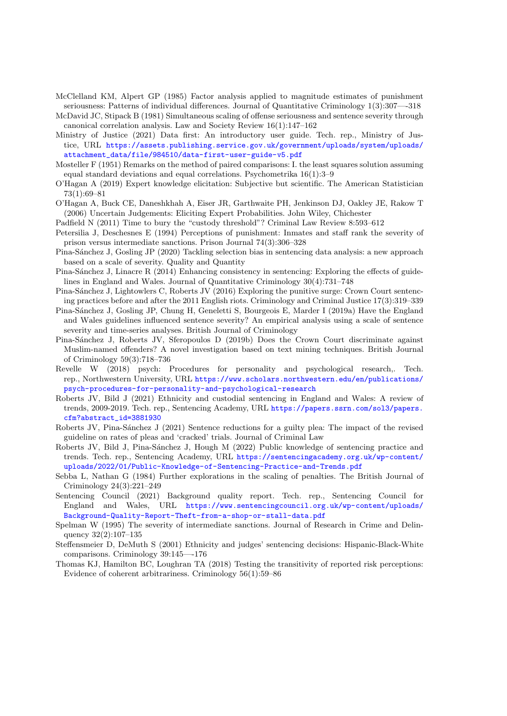<span id="page-15-19"></span>McClelland KM, Alpert GP (1985) Factor analysis applied to magnitude estimates of punishment seriousness: Patterns of individual differences. Journal of Quantitative Criminology 1(3):307—-318

- <span id="page-15-3"></span>McDavid JC, Stipack B (1981) Simultaneous scaling of offense seriousness and sentence severity through canonical correlation analysis. Law and Society Review 16(1):147–162
- <span id="page-15-7"></span>Ministry of Justice (2021) Data first: An introductory user guide. Tech. rep., Ministry of Justice, URL [https://assets.publishing.service.gov.uk/government/uploads/system/uploads/](https://assets.publishing.service.gov.uk/government/uploads/system/uploads/attachment_data/file/984510/data-first-user-guide-v5.pdf) [attachment\\_data/file/984510/data-first-user-guide-v5.pdf](https://assets.publishing.service.gov.uk/government/uploads/system/uploads/attachment_data/file/984510/data-first-user-guide-v5.pdf)
- <span id="page-15-8"></span>Mosteller F (1951) Remarks on the method of paired comparisons: I. the least squares solution assuming equal standard deviations and equal correlations. Psychometrika  $16(1):3-9$
- <span id="page-15-10"></span>O'Hagan A (2019) Expert knowledge elicitation: Subjective but scientific. The American Statistician  $73(1)\cdot69-81$
- <span id="page-15-9"></span>O'Hagan A, Buck CE, Daneshkhah A, Eiser JR, Garthwaite PH, Jenkinson DJ, Oakley JE, Rakow T (2006) Uncertain Judgements: Eliciting Expert Probabilities. John Wiley, Chichester
- <span id="page-15-13"></span>Padfield N (2011) Time to bury the "custody threshold"? Criminal Law Review 8:593–612
- <span id="page-15-20"></span>Petersilia J, Deschesnes E (1994) Perceptions of punishment: Inmates and staff rank the severity of prison versus intermediate sanctions. Prison Journal 74(3):306–328
- <span id="page-15-1"></span>Pina-Sánchez J, Gosling JP (2020) Tackling selection bias in sentencing data analysis: a new approach based on a scale of severity. Quality and Quantity
- <span id="page-15-15"></span>Pina-Sánchez J, Linacre R (2014) Enhancing consistency in sentencing: Exploring the effects of guidelines in England and Wales. Journal of Quantitative Criminology 30(4):731–748
- <span id="page-15-17"></span>Pina-Sánchez J, Lightowlers C, Roberts JV (2016) Exploring the punitive surge: Crown Court sentencing practices before and after the 2011 English riots. Criminology and Criminal Justice 17(3):319–339
- <span id="page-15-4"></span>Pina-Sánchez J, Gosling JP, Chung H, Geneletti S, Bourgeois E, Marder I (2019a) Have the England and Wales guidelines influenced sentence severity? An empirical analysis using a scale of sentence severity and time-series analyses. British Journal of Criminology
- <span id="page-15-18"></span>Pina-Sánchez J, Roberts JV, Sferopoulos D (2019b) Does the Crown Court discriminate against Muslim-named offenders? A novel investigation based on text mining techniques. British Journal of Criminology 59(3):718–736
- <span id="page-15-14"></span>Revelle W (2018) psych: Procedures for personality and psychological research,. Tech. rep., Northwestern University, URL [https://www.scholars.northwestern.edu/en/publications/](https://www.scholars.northwestern.edu/en/publications/psych-procedures-for-personality-and-psychological-research) [psych-procedures-for-personality-and-psychological-research](https://www.scholars.northwestern.edu/en/publications/psych-procedures-for-personality-and-psychological-research)
- <span id="page-15-5"></span>Roberts JV, Bild J (2021) Ethnicity and custodial sentencing in England and Wales: A review of trends, 2009-2019. Tech. rep., Sentencing Academy, URL [https://papers.ssrn.com/sol3/papers.](https://papers.ssrn.com/sol3/papers.cfm?abstract_id=3881930) [cfm?abstract\\_id=3881930](https://papers.ssrn.com/sol3/papers.cfm?abstract_id=3881930)
- <span id="page-15-16"></span>Roberts JV, Pina-Sánchez J (2021) Sentence reductions for a guilty plea: The impact of the revised guideline on rates of pleas and 'cracked' trials. Journal of Criminal Law
- <span id="page-15-21"></span>Roberts JV, Bild J, Pina-Sánchez J, Hough M (2022) Public knowledge of sentencing practice and trends. Tech. rep., Sentencing Academy, URL [https://sentencingacademy.org.uk/wp-content/](https://sentencingacademy.org.uk/wp-content/uploads/2022/01/Public-Knowledge-of-Sentencing-Practice-and-Trends.pdf) [uploads/2022/01/Public-Knowledge-of-Sentencing-Practice-and-Trends.pdf](https://sentencingacademy.org.uk/wp-content/uploads/2022/01/Public-Knowledge-of-Sentencing-Practice-and-Trends.pdf)
- <span id="page-15-12"></span>Sebba L, Nathan G (1984) Further explorations in the scaling of penalties. The British Journal of Criminology 24(3):221–249
- <span id="page-15-6"></span>Sentencing Council (2021) Background quality report. Tech. rep., Sentencing Council for England and Wales, URL [https://www.sentencingcouncil.org.uk/wp-content/uploads/](https://www.sentencingcouncil.org.uk/wp-content/uploads/Background-Quality-Report-Theft-from-a-shop-or-stall-data.pdf) [Background-Quality-Report-Theft-from-a-shop-or-stall-data.pdf](https://www.sentencingcouncil.org.uk/wp-content/uploads/Background-Quality-Report-Theft-from-a-shop-or-stall-data.pdf)
- <span id="page-15-2"></span>Spelman W (1995) The severity of intermediate sanctions. Journal of Research in Crime and Delinquency 32(2):107–135
- <span id="page-15-0"></span>Steffensmeier D, DeMuth S (2001) Ethnicity and judges' sentencing decisions: Hispanic-Black-White comparisons. Criminology 39:145—-176
- <span id="page-15-11"></span>Thomas KJ, Hamilton BC, Loughran TA (2018) Testing the transitivity of reported risk perceptions: Evidence of coherent arbitrariness. Criminology 56(1):59–86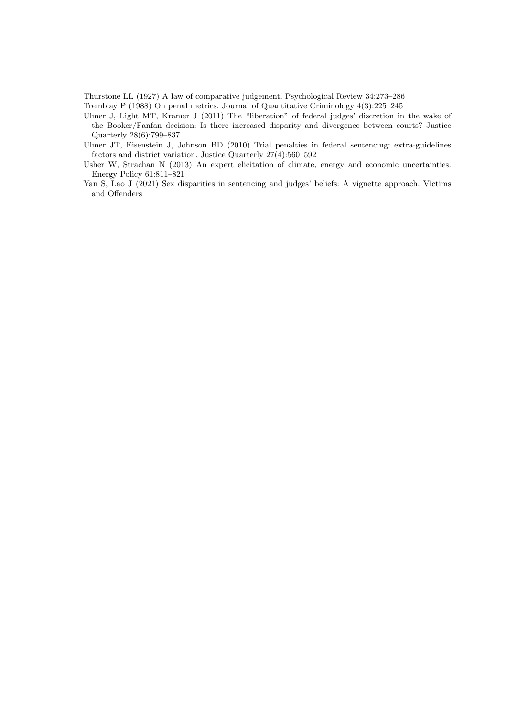<span id="page-16-3"></span>Thurstone LL (1927) A law of comparative judgement. Psychological Review 34:273–286

<span id="page-16-2"></span>Tremblay P (1988) On penal metrics. Journal of Quantitative Criminology 4(3):225–245

- <span id="page-16-5"></span>Ulmer J, Light MT, Kramer J (2011) The "liberation" of federal judges' discretion in the wake of the Booker/Fanfan decision: Is there increased disparity and divergence between courts? Justice Quarterly 28(6):799–837
- <span id="page-16-0"></span>Ulmer JT, Eisenstein J, Johnson BD (2010) Trial penalties in federal sentencing: extra-guidelines factors and district variation. Justice Quarterly 27(4):560–592
- <span id="page-16-4"></span>Usher W, Strachan N (2013) An expert elicitation of climate, energy and economic uncertainties. Energy Policy 61:811–821
- <span id="page-16-1"></span>Yan S, Lao J (2021) Sex disparities in sentencing and judges' beliefs: A vignette approach. Victims and Offenders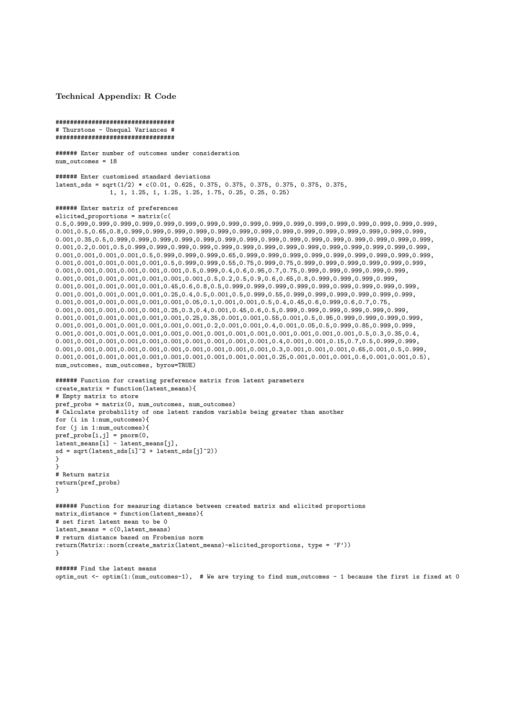<span id="page-17-0"></span>Technical Appendix: R Code

```
#################################
# Thurstone - Unequal Variances #
#################################
```

```
###### Enter number of outcomes under consideration
num outcomes = 18
```
###### Enter customised standard deviations latent\_sds = sqrt( $1/2$ ) \*  $c(0.01, 0.625, 0.375, 0.375, 0.375, 0.375, 0.375, 0.375, 0.375)$ 1, 1, 1.25, 1, 1.25, 1.25, 1.75, 0.25, 0.25, 0.25)

#### ###### Enter matrix of preferences elicited\_proportions = matrix(c(

```
0.5,0.999,0.999,0.999,0.999,0.999,0.999,0.999,0.999,0.999,0.999,0.999,0.999,0.999,0.999,0.999,0.999,0.999,
0.001,0.5,0.65,0.8,0.999,0.999,0.999,0.999,0.999,0.999,0.999,0.999,0.999,0.999,0.999,0.999,0.999,0.999,
0.001,0.35,0.5,0.999,0.999,0.999,0.999,0.999,0.999,0.999,0.999,0.999,0.999,0.999,0.999,0.999,0.999,0.999,
0.001,0.2,0.001,0.5,0.999,0.999,0.999,0.999,0.999,0.999,0.999,0.999,0.999,0.999,0.999,0.999,0.999,0.999,
0.001,0.001,0.001,0.001,0.5,0.999,0.999,0.999,0.65,0.999,0.999,0.999,0.999,0.999,0.999,0.999,0.999,0.999,
0.001,0.001,0.001,0.001,0.001,0.5,0.999,0.999,0.55,0.75,0.999,0.75,0.999,0.999,0.999,0.999,0.999,0.999,
0.001, 0.001, 0.001, 0.001, 0.001, 0.001, 0.001, 0.5, 0.999, 0.4, 0.6, 0.95, 0.7, 0.75, 0.999, 0.999, 0.999, 0.999, 0.999, \\0.001,0.001,0.001,0.001,0.001,0.001,0.001,0.5,0.2,0.5,0.9,0.6,0.65,0.8,0.999,0.999,0.999,0.999,
0.001,0.001,0.001,0.001,0.001,0.45,0.6,0.8,0.5,0.999,0.999,0.999,0.999,0.999,0.999,0.999,0.999,0.999,
0.001,0.001,0.001,0.001,0.001,0.25,0.4,0.5,0.001,0.5,0.999,0.55,0.999,0.999,0.999,0.999,0.999,0.999,
0.001,0.001,0.001,0.001,0.001,0.001,0.05,0.1,0.001,0.001,0.5,0.4,0.45,0.6,0.999,0.6,0.7,0.75,
0.001,0.001,0.001,0.001,0.001,0.25,0.3,0.4,0.001,0.45,0.6,0.5,0.999,0.999,0.999,0.999,0.999,0.999,
0.001, 0.001, 0.001, 0.001, 0.001, 0.001, 0.25, 0.35, 0.001, 0.001, 0.55, 0.001, 0.5, 0.95, 0.999, 0.999, 0.999, 0.999, 0.999,0.001,0.001,0.001,0.001,0.001,0.001,0.001,0.2,0.001,0.001,0.4,0.001,0.05,0.5,0.999,0.85,0.999,0.999,
0.001,0.001,0.001,0.001,0.001,0.001,0.001,0.001,0.001,0.001,0.001,0.001,0.001,0.001,0.5,0.3,0.35,0.4,
0.001,0.001,0.001,0.001,0.001,0.001,0.001,0.001,0.001,0.001,0.4,0.001,0.001,0.15,0.7,0.5,0.999,0.999,
0.001,0.001,0.001,0.001,0.001,0.001,0.001,0.001,0.001,0.001,0.3,0.001,0.001,0.001,0.65,0.001,0.5,0.999,
0.001,0.001,0.001,0.001,0.001,0.001,0.001,0.001,0.001,0.001,0.25,0.001,0.001,0.001,0.6,0.001,0.001,0.5),
num_outcomes, num_outcomes, byrow=TRUE)
```

```
###### Function for creating preference matrix from latent parameters
create_matrix = function(latent_means){
# Empty matrix to store
pref_probs = matrix(0, num_outcomes, num_outcomes)
# Calculate probability of one latent random variable being greater than another
for (i in 1:num_outcomes){
for (j in 1:num_outcomes){
pref_probs[i,j] = pnorm(0,
latent_means[i] - latent_means[j],
sd = sqrt(latent_sds[i]<sup>2</sup> + latent_sds[j]<sup>2</sup>))
}
}
# Return matrix
return(pref_probs)
}
###### Function for measuring distance between created matrix and elicited proportions
matrix distance = function(latent means){
# set first latent mean to be 0
latent means = c(0,latent means)
# return distance based on Frobenius norm
return(Matrix::norm(create_matrix(latent_means)-elicited_proportions, type = 'F'))
}
```
###### Find the latent means optim\_out <- optim(1:(num\_outcomes-1), # We are trying to find num\_outcomes - 1 because the first is fixed at 0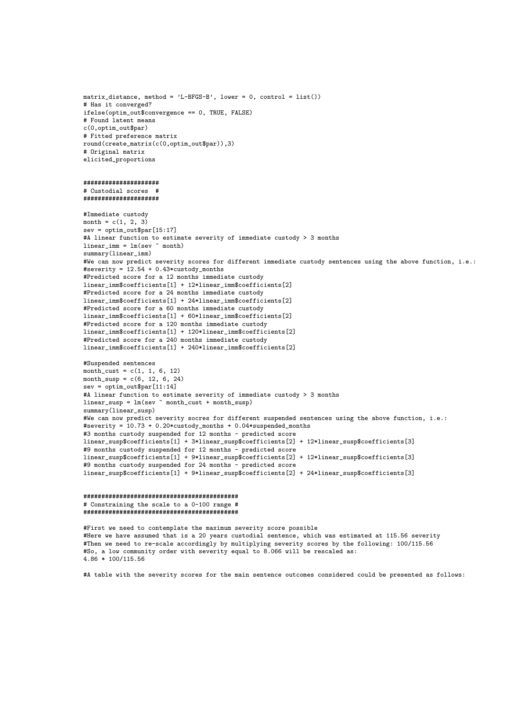matrix\_distance, method = 'L-BFGS-B', lower = 0, control = list()) # Has it converged? ifelse(optim\_out\$convergence == 0, TRUE, FALSE) # Found latent means c(0,optim\_out\$par) # Fitted preference matrix round(create\_matrix(c(0,optim\_out\$par)),3) # Original matrix elicited\_proportions

#### ##################### # Custodial scores # #####################

#Immediate custody month =  $c(1, 2, 3)$  $sev =$  optim\_out\$par $[15:17]$ #A linear function to estimate severity of immediate custody > 3 months linear imm =  $lm(sev ~ month)$ summary(linear\_imm) #We can now predict severity scores for different immediate custody sentences using the above function, i.e.: #severity = 12.54 + 0.43\*custody\_months #Predicted score for a 12 months immediate custody linear\_imm\$coefficients[1] + 12\*linear\_imm\$coefficients[2] #Predicted score for a 24 months immediate custody linear\_imm\$coefficients[1] + 24\*linear\_imm\$coefficients[2] #Predicted score for a 60 months immediate custody linear\_imm\$coefficients[1] + 60\*linear\_imm\$coefficients[2] #Predicted score for a 120 months immediate custody linear\_imm\$coefficients[1] + 120\*linear\_imm\$coefficients[2] #Predicted score for a 240 months immediate custody linear\_imm\$coefficients[1] + 240\*linear\_imm\$coefficients[2] #Suspended sentences month cust =  $c(1, 1, 6, 12)$ month\_susp =  $c(6, 12, 6, 24)$  $sev =$  optim\_out\$par[11:14] #A linear function to estimate severity of immediate custody > 3 months linear\_susp = lm(sev ~ month\_cust + month\_susp) summary(linear\_susp) #We can now predict severity socres for different suspended sentences using the above function, i.e.:

#severity = 10.73 + 0.20\*custody\_months + 0.04\*suspended\_months #3 months custody suspended for 12 months - predicted score linear\_susp\$coefficients[1] + 3\*linear\_susp\$coefficients[2] + 12\*linear\_susp\$coefficients[3] #9 months custody suspended for 12 months - predicted score linear\_susp\$coefficients[1] + 9\*linear\_susp\$coefficients[2] + 12\*linear\_susp\$coefficients[3] #9 months custody suspended for 24 months - predicted score linear\_susp\$coefficients[1] + 9\*linear\_susp\$coefficients[2] + 24\*linear\_susp\$coefficients[3]

#### ########################################### # Constraining the scale to a 0-100 range # ###########################################

#First we need to contemplate the maximum severity score possible #Here we have assumed that is a 20 years custodial sentence, which was estimated at 115.56 severity #Then we need to re-scale accordingly by multiplying severity scores by the following: 100/115.56 #So, a low community order with severity equal to 8.066 will be rescaled as: 4.86 \* 100/115.56

#A table with the severity scores for the main sentence outcomes considered could be presented as follows: